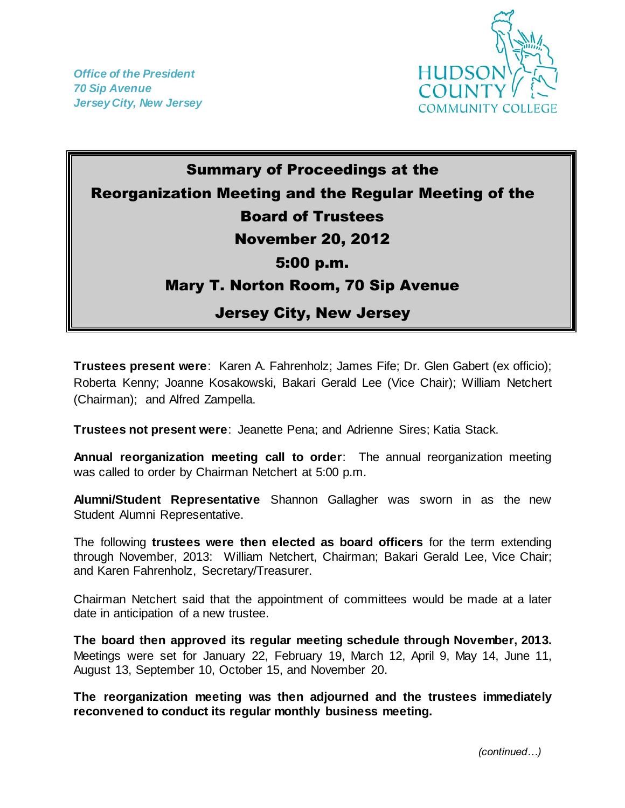

## Summary of Proceedings at the Reorganization Meeting and the Regular Meeting of the Board of Trustees November 20, 2012 5:00 p.m. Mary T. Norton Room, 70 Sip Avenue Jersey City, New Jersey

**Trustees present were**: Karen A. Fahrenholz; James Fife; Dr. Glen Gabert (ex officio); Roberta Kenny; Joanne Kosakowski, Bakari Gerald Lee (Vice Chair); William Netchert (Chairman); and Alfred Zampella.

**Trustees not present were**: Jeanette Pena; and Adrienne Sires; Katia Stack.

**Annual reorganization meeting call to order**: The annual reorganization meeting was called to order by Chairman Netchert at 5:00 p.m.

**Alumni/Student Representative** Shannon Gallagher was sworn in as the new Student Alumni Representative.

The following **trustees were then elected as board officers** for the term extending through November, 2013: William Netchert, Chairman; Bakari Gerald Lee, Vice Chair; and Karen Fahrenholz, Secretary/Treasurer.

Chairman Netchert said that the appointment of committees would be made at a later date in anticipation of a new trustee.

**The board then approved its regular meeting schedule through November, 2013.**  Meetings were set for January 22, February 19, March 12, April 9, May 14, June 11, August 13, September 10, October 15, and November 20.

**The reorganization meeting was then adjourned and the trustees immediately reconvened to conduct its regular monthly business meeting.**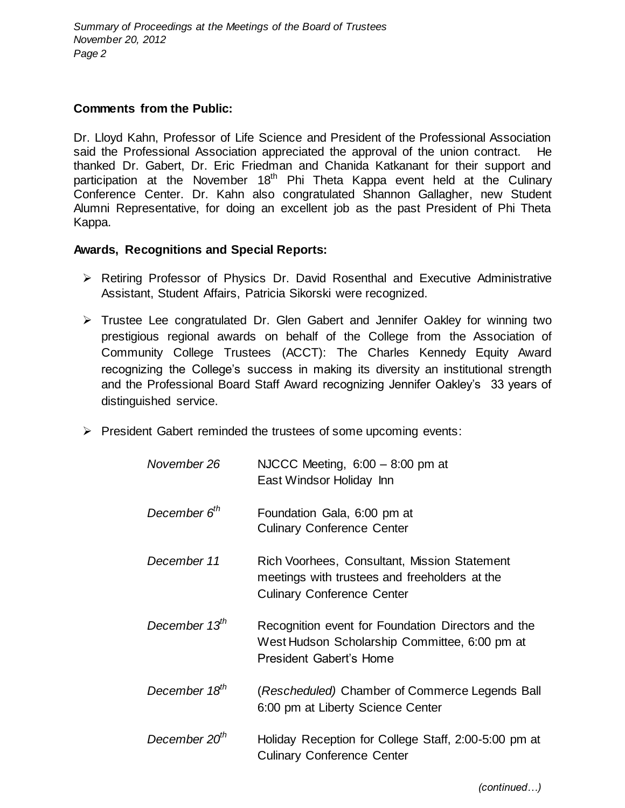## **Comments from the Public:**

Dr. Lloyd Kahn, Professor of Life Science and President of the Professional Association said the Professional Association appreciated the approval of the union contract. He thanked Dr. Gabert, Dr. Eric Friedman and Chanida Katkanant for their support and participation at the November  $18<sup>th</sup>$  Phi Theta Kappa event held at the Culinary Conference Center. Dr. Kahn also congratulated Shannon Gallagher, new Student Alumni Representative, for doing an excellent job as the past President of Phi Theta Kappa.

## **Awards, Recognitions and Special Reports:**

- $\triangleright$  Retiring Professor of Physics Dr. David Rosenthal and Executive Administrative Assistant, Student Affairs, Patricia Sikorski were recognized.
- $\triangleright$  Trustee Lee congratulated Dr. Glen Gabert and Jennifer Oakley for winning two prestigious regional awards on behalf of the College from the Association of Community College Trustees (ACCT): The Charles Kennedy Equity Award recognizing the College's success in making its diversity an institutional strength and the Professional Board Staff Award recognizing Jennifer Oakley's 33 years of distinguished service.
- $\triangleright$  President Gabert reminded the trustees of some upcoming events:

| November 26               | NJCCC Meeting, $6:00 - 8:00$ pm at<br>East Windsor Holiday Inn                                                                     |
|---------------------------|------------------------------------------------------------------------------------------------------------------------------------|
| December 6 <sup>th</sup>  | Foundation Gala, 6:00 pm at<br><b>Culinary Conference Center</b>                                                                   |
| December 11               | Rich Voorhees, Consultant, Mission Statement<br>meetings with trustees and freeholders at the<br><b>Culinary Conference Center</b> |
| December 13 <sup>th</sup> | Recognition event for Foundation Directors and the<br>West Hudson Scholarship Committee, 6:00 pm at<br>President Gabert's Home     |
| December 18 <sup>th</sup> | (Rescheduled) Chamber of Commerce Legends Ball<br>6:00 pm at Liberty Science Center                                                |
| December 20 <sup>th</sup> | Holiday Reception for College Staff, 2:00-5:00 pm at<br><b>Culinary Conference Center</b>                                          |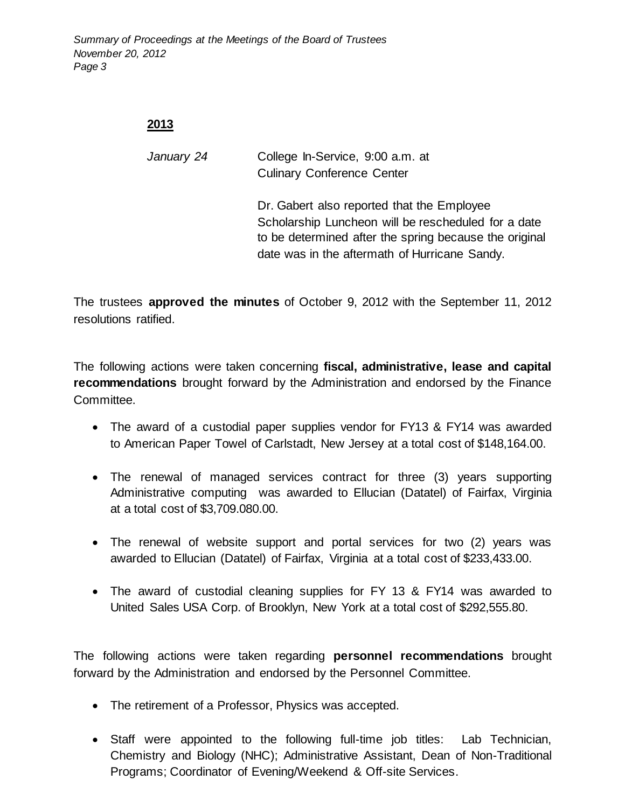*Summary of Proceedings at the Meetings of the Board of Trustees November 20, 2012 Page 3*

## **2013**

*January 24* College In-Service, 9:00 a.m. at Culinary Conference Center

> Dr. Gabert also reported that the Employee Scholarship Luncheon will be rescheduled for a date to be determined after the spring because the original date was in the aftermath of Hurricane Sandy.

The trustees **approved the minutes** of October 9, 2012 with the September 11, 2012 resolutions ratified.

The following actions were taken concerning **fiscal, administrative, lease and capital recommendations** brought forward by the Administration and endorsed by the Finance Committee.

- The award of a custodial paper supplies vendor for FY13 & FY14 was awarded to American Paper Towel of Carlstadt, New Jersey at a total cost of \$148,164.00.
- The renewal of managed services contract for three (3) years supporting Administrative computing was awarded to Ellucian (Datatel) of Fairfax, Virginia at a total cost of \$3,709.080.00.
- The renewal of website support and portal services for two (2) years was awarded to Ellucian (Datatel) of Fairfax, Virginia at a total cost of \$233,433.00.
- The award of custodial cleaning supplies for FY 13 & FY14 was awarded to United Sales USA Corp. of Brooklyn, New York at a total cost of \$292,555.80.

The following actions were taken regarding **personnel recommendations** brought forward by the Administration and endorsed by the Personnel Committee.

- The retirement of a Professor, Physics was accepted.
- Staff were appointed to the following full-time job titles: Lab Technician, Chemistry and Biology (NHC); Administrative Assistant, Dean of Non-Traditional Programs; Coordinator of Evening/Weekend & Off-site Services.